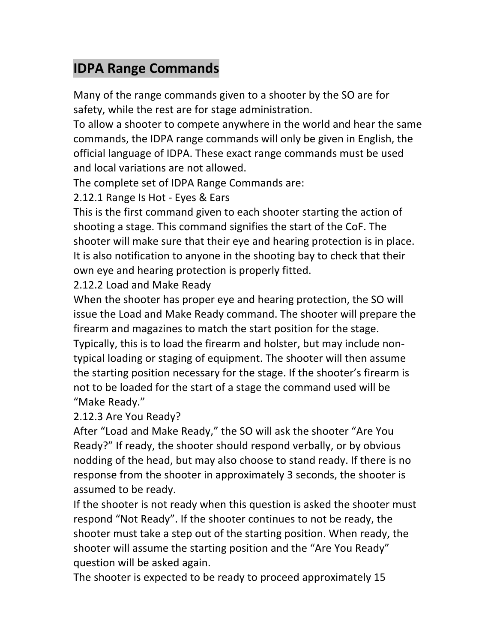# **IDPA Range Commands**

Many of the range commands given to a shooter by the SO are for safety, while the rest are for stage administration.

To allow a shooter to compete anywhere in the world and hear the same commands, the IDPA range commands will only be given in English, the official language of IDPA. These exact range commands must be used and local variations are not allowed.

The complete set of IDPA Range Commands are:

2.12.1 Range Is Hot - Eyes & Ears

This is the first command given to each shooter starting the action of shooting a stage. This command signifies the start of the CoF. The shooter will make sure that their eye and hearing protection is in place. It is also notification to anyone in the shooting bay to check that their own eye and hearing protection is properly fitted.

2.12.2 Load and Make Ready

When the shooter has proper eye and hearing protection, the SO will issue the Load and Make Ready command. The shooter will prepare the firearm and magazines to match the start position for the stage. Typically, this is to load the firearm and holster, but may include nontypical loading or staging of equipment. The shooter will then assume the starting position necessary for the stage. If the shooter's firearm is not to be loaded for the start of a stage the command used will be "Make Ready."

#### 2.12.3 Are You Ready?

After "Load and Make Ready," the SO will ask the shooter "Are You Ready?" If ready, the shooter should respond verbally, or by obvious nodding of the head, but may also choose to stand ready. If there is no response from the shooter in approximately 3 seconds, the shooter is assumed to be ready.

If the shooter is not ready when this question is asked the shooter must respond "Not Ready". If the shooter continues to not be ready, the shooter must take a step out of the starting position. When ready, the shooter will assume the starting position and the "Are You Ready" question will be asked again.

The shooter is expected to be ready to proceed approximately 15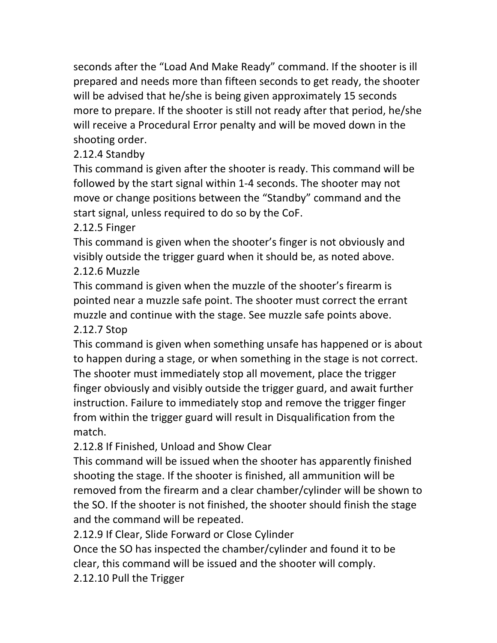seconds after the "Load And Make Ready" command. If the shooter is ill prepared and needs more than fifteen seconds to get ready, the shooter will be advised that he/she is being given approximately 15 seconds more to prepare. If the shooter is still not ready after that period, he/she will receive a Procedural Error penalty and will be moved down in the shooting order.

### 2.12.4 Standby

This command is given after the shooter is ready. This command will be followed by the start signal within 1-4 seconds. The shooter may not move or change positions between the "Standby" command and the start signal, unless required to do so by the CoF.

### 2.12.5 Finger

This command is given when the shooter's finger is not obviously and visibly outside the trigger guard when it should be, as noted above.

#### 2.12.6 Muzzle

This command is given when the muzzle of the shooter's firearm is pointed near a muzzle safe point. The shooter must correct the errant muzzle and continue with the stage. See muzzle safe points above.

## 2.12.7 Stop

This command is given when something unsafe has happened or is about to happen during a stage, or when something in the stage is not correct. The shooter must immediately stop all movement, place the trigger finger obviously and visibly outside the trigger guard, and await further instruction. Failure to immediately stop and remove the trigger finger from within the trigger guard will result in Disqualification from the match. 

#### 2.12.8 If Finished, Unload and Show Clear

This command will be issued when the shooter has apparently finished shooting the stage. If the shooter is finished, all ammunition will be removed from the firearm and a clear chamber/cylinder will be shown to the SO. If the shooter is not finished, the shooter should finish the stage and the command will be repeated.

2.12.9 If Clear, Slide Forward or Close Cylinder

Once the SO has inspected the chamber/cylinder and found it to be clear, this command will be issued and the shooter will comply.

2.12.10 Pull the Trigger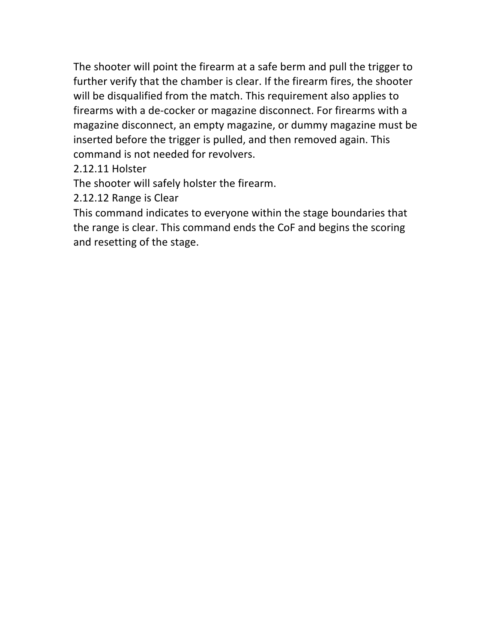The shooter will point the firearm at a safe berm and pull the trigger to further verify that the chamber is clear. If the firearm fires, the shooter will be disqualified from the match. This requirement also applies to firearms with a de-cocker or magazine disconnect. For firearms with a magazine disconnect, an empty magazine, or dummy magazine must be inserted before the trigger is pulled, and then removed again. This command is not needed for revolvers.

2.12.11 Holster

The shooter will safely holster the firearm.

2.12.12 Range is Clear

This command indicates to everyone within the stage boundaries that the range is clear. This command ends the CoF and begins the scoring and resetting of the stage.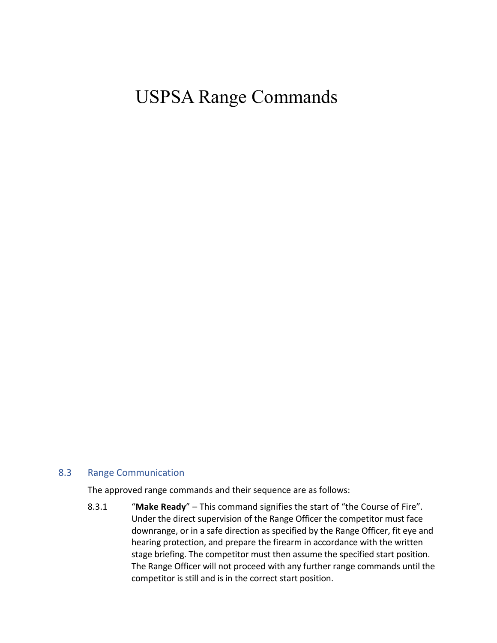#### $IIRPSA$   $R$  ange  $C$ ommande USPSA Range Commands

#### 8.3 Range Communication

The approved range commands and their sequence are as follows:

8.3.1 "**Make Ready**" – This command signifies the start of "the Course of Fire". Under the direct supervision of the Range Officer the competitor must face downrange, or in a safe direction as specified by the Range Officer, fit eye and hearing protection, and prepare the firearm in accordance with the written stage briefing. The competitor must then assume the specified start position. The Range Officer will not proceed with any further range commands until the competitor is still and is in the correct start position.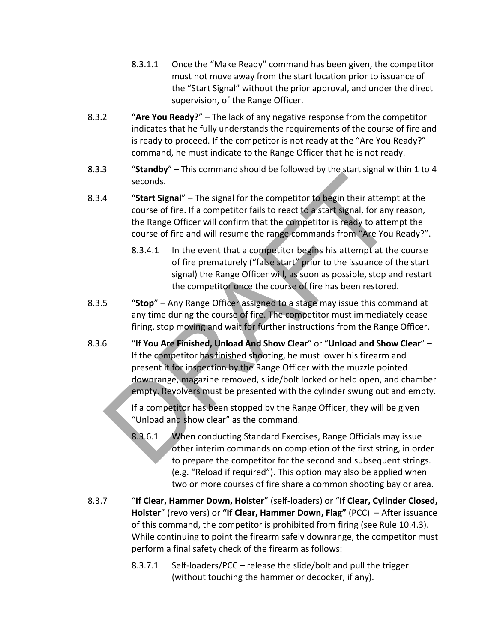- 8.3.1.1 Once the "Make Ready" command has been given, the competitor must not move away from the start location prior to issuance of the "Start Signal" without the prior approval, and under the direct supervision, of the Range Officer.
- 8.3.2 "**Are You Ready?**" The lack of any negative response from the competitor indicates that he fully understands the requirements of the course of fire and is ready to proceed. If the competitor is not ready at the "Are You Ready?" command, he must indicate to the Range Officer that he is not ready.
- 8.3.3 "**Standby**" This command should be followed by the start signal within 1 to 4 seconds.
- 8.3.4 "**Start Signal**" The signal for the competitor to begin their attempt at the course of fire. If a competitor fails to react to a start signal, for any reason, the Range Officer will confirm that the competitor is ready to attempt the course of fire and will resume the range commands from "Are You Ready?".
	- 8.3.4.1 In the event that a competitor begins his attempt at the course of fire prematurely ("false start" prior to the issuance of the start signal) the Range Officer will, as soon as possible, stop and restart the competitor once the course of fire has been restored.
- 8.3.5 "**Stop**" Any Range Officer assigned to a stage may issue this command at any time during the course of fire. The competitor must immediately cease firing, stop moving and wait for further instructions from the Range Officer.
- 8.3.6 "**If You Are Finished, Unload And Show Clear**" or "**Unload and Show Clear**" If the competitor has finished shooting, he must lower his firearm and present it for inspection by the Range Officer with the muzzle pointed downrange, magazine removed, slide/bolt locked or held open, and chamber empty. Revolvers must be presented with the cylinder swung out and empty. seconds.<br>
"Start Signal" – The signal for the competitor to begin their attempton and the same of fire. If a competitor fails to react to a start signal, for any the Range Officer will confirm that the competitor is ready

If a competitor has been stopped by the Range Officer, they will be given "Unload and show clear" as the command.

- 8.3.6.1 When conducting Standard Exercises, Range Officials may issue other interim commands on completion of the first string, in order to prepare the competitor for the second and subsequent strings. (e.g. "Reload if required"). This option may also be applied when two or more courses of fire share a common shooting bay or area.
- 8.3.7 "**If Clear, Hammer Down, Holster**" (self-loaders) or "**If Clear, Cylinder Closed, Holster**" (revolvers) or **"If Clear, Hammer Down, Flag"** (PCC) – After issuance of this command, the competitor is prohibited from firing (see Rule 10.4.3). While continuing to point the firearm safely downrange, the competitor must perform a final safety check of the firearm as follows:
	- 8.3.7.1 Self-loaders/PCC release the slide/bolt and pull the trigger (without touching the hammer or decocker, if any).